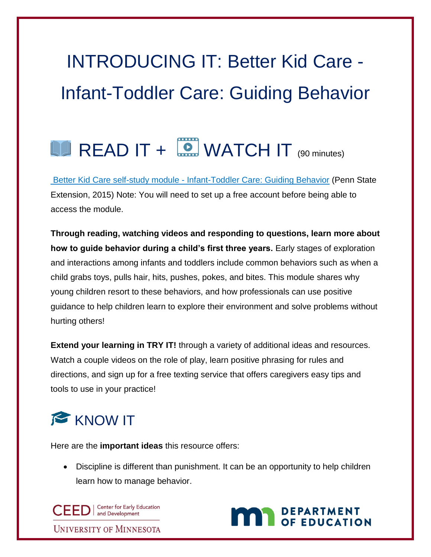# INTRODUCING IT: Better Kid Care - Infant-Toddler Care: Guiding Behavior

## $\Box$  READ IT +  $\Box$  WATCH IT  $\Box$  (90 minutes)

Better Kid Care self-study module - [Infant-Toddler Care: Guiding Behavior](https://extension.psu.edu/programs/betterkidcare/lessons) (Penn State Extension, 2015) Note: You will need to set up a free account before being able to access the module.

**Through reading, watching videos and responding to questions, learn more about how to guide behavior during a child's first three years.** Early stages of exploration and interactions among infants and toddlers include common behaviors such as when a child grabs toys, pulls hair, hits, pushes, pokes, and bites. This module shares why young children resort to these behaviors, and how professionals can use positive guidance to help children learn to explore their environment and solve problems without hurting others!

**Extend your learning in TRY IT!** through a variety of additional ideas and resources. Watch a couple videos on the role of play, learn positive phrasing for rules and directions, and sign up for a free texting service that offers caregivers easy tips and tools to use in your practice!

#### KNOW IT

Here are the **important ideas** this resource offers:

 Discipline is different than punishment. It can be an opportunity to help children learn how to manage behavior.

CEED | Center for Early Education **UNIVERSITY OF MINNESOTA** 

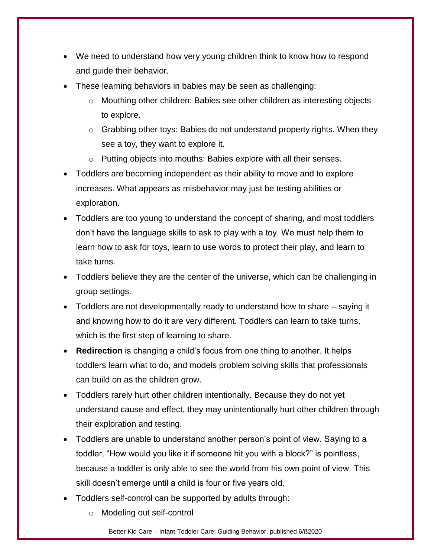- We need to understand how very young children think to know how to respond and guide their behavior.
- These learning behaviors in babies may be seen as challenging:
	- o Mouthing other children: Babies see other children as interesting objects to explore.
	- $\circ$  Grabbing other toys: Babies do not understand property rights. When they see a toy, they want to explore it.
	- o Putting objects into mouths: Babies explore with all their senses.
- Toddlers are becoming independent as their ability to move and to explore increases. What appears as misbehavior may just be testing abilities or exploration.
- Toddlers are too young to understand the concept of sharing, and most toddlers don't have the language skills to ask to play with a toy. We must help them to learn how to ask for toys, learn to use words to protect their play, and learn to take turns.
- Toddlers believe they are the center of the universe, which can be challenging in group settings.
- Toddlers are not developmentally ready to understand how to share saying it and knowing how to do it are very different. Toddlers can learn to take turns, which is the first step of learning to share.
- **Redirection** is changing a child's focus from one thing to another. It helps toddlers learn what to do, and models problem solving skills that professionals can build on as the children grow.
- Toddlers rarely hurt other children intentionally. Because they do not yet understand cause and effect, they may unintentionally hurt other children through their exploration and testing.
- Toddlers are unable to understand another person's point of view. Saying to a toddler, "How would you like it if someone hit you with a block?" is pointless, because a toddler is only able to see the world from his own point of view. This skill doesn't emerge until a child is four or five years old.
- Toddlers self-control can be supported by adults through:
	- o Modeling out self-control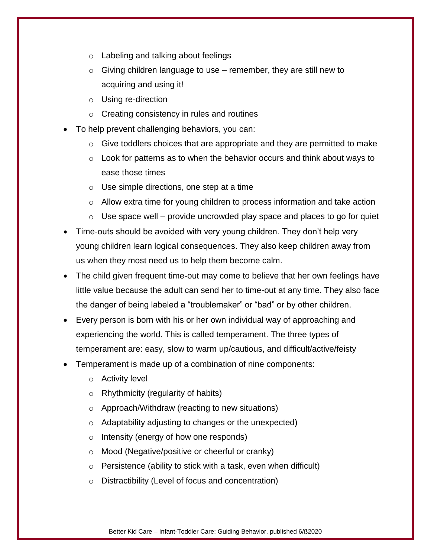- o Labeling and talking about feelings
- $\circ$  Giving children language to use remember, they are still new to acquiring and using it!
- o Using re-direction
- o Creating consistency in rules and routines
- To help prevent challenging behaviors, you can:
	- $\circ$  Give toddlers choices that are appropriate and they are permitted to make
	- o Look for patterns as to when the behavior occurs and think about ways to ease those times
	- o Use simple directions, one step at a time
	- $\circ$  Allow extra time for young children to process information and take action
	- $\circ$  Use space well provide uncrowded play space and places to go for quiet
- Time-outs should be avoided with very young children. They don't help very young children learn logical consequences. They also keep children away from us when they most need us to help them become calm.
- The child given frequent time-out may come to believe that her own feelings have little value because the adult can send her to time-out at any time. They also face the danger of being labeled a "troublemaker" or "bad" or by other children.
- Every person is born with his or her own individual way of approaching and experiencing the world. This is called temperament. The three types of temperament are: easy, slow to warm up/cautious, and difficult/active/feisty
- Temperament is made up of a combination of nine components:
	- o Activity level
	- o Rhythmicity (regularity of habits)
	- o Approach/Withdraw (reacting to new situations)
	- o Adaptability adjusting to changes or the unexpected)
	- o Intensity (energy of how one responds)
	- o Mood (Negative/positive or cheerful or cranky)
	- $\circ$  Persistence (ability to stick with a task, even when difficult)
	- o Distractibility (Level of focus and concentration)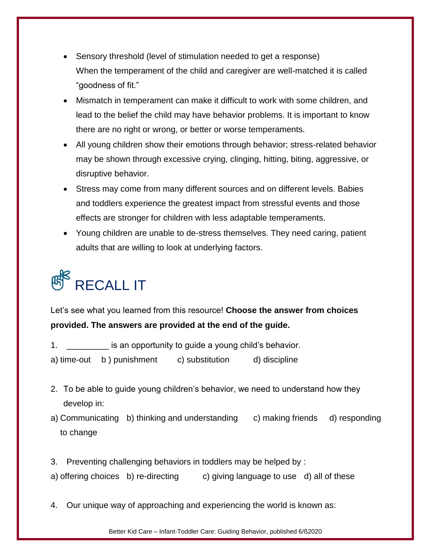- Sensory threshold (level of stimulation needed to get a response) When the temperament of the child and caregiver are well-matched it is called "goodness of fit."
- Mismatch in temperament can make it difficult to work with some children, and lead to the belief the child may have behavior problems. It is important to know there are no right or wrong, or better or worse temperaments.
- All young children show their emotions through behavior; stress-related behavior may be shown through excessive crying, clinging, hitting, biting, aggressive, or disruptive behavior.
- Stress may come from many different sources and on different levels. Babies and toddlers experience the greatest impact from stressful events and those effects are stronger for children with less adaptable temperaments.
- Young children are unable to de-stress themselves. They need caring, patient adults that are willing to look at underlying factors.

# $\textsf{R}^{\mathsf{R}}$  RECALL IT

Let's see what you learned from this resource! **Choose the answer from choices provided. The answers are provided at the end of the guide.**

- 1. \_\_\_\_\_\_\_\_\_ is an opportunity to guide a young child's behavior.
- a) time-out b ) punishment c) substitution d) discipline
- 2. To be able to guide young children's behavior, we need to understand how they develop in:
- a) Communicating b) thinking and understanding c) making friends d) responding to change
- 3. Preventing challenging behaviors in toddlers may be helped by :
- a) offering choices b) re-directing c) giving language to use d) all of these
- 4. Our unique way of approaching and experiencing the world is known as:

Better Kid Care – Infant-Toddler Care: Guiding Behavior, published 6/ß2020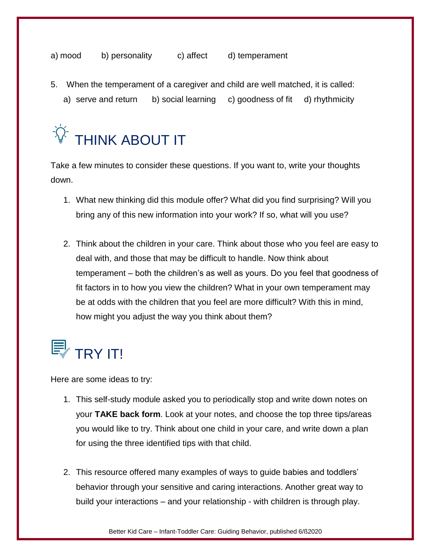a) mood b) personality c) affect d) temperament

- 5. When the temperament of a caregiver and child are well matched, it is called:
	- a) serve and return b) social learning c) goodness of fit d) rhythmicity



Take a few minutes to consider these questions. If you want to, write your thoughts down.

- 1. What new thinking did this module offer? What did you find surprising? Will you bring any of this new information into your work? If so, what will you use?
- 2. Think about the children in your care. Think about those who you feel are easy to deal with, and those that may be difficult to handle. Now think about temperament – both the children's as well as yours. Do you feel that goodness of fit factors in to how you view the children? What in your own temperament may be at odds with the children that you feel are more difficult? With this in mind, how might you adjust the way you think about them?

### $\mathbb{F}$  TRY IT!

Here are some ideas to try:

- 1. This self-study module asked you to periodically stop and write down notes on your **TAKE back form**. Look at your notes, and choose the top three tips/areas you would like to try. Think about one child in your care, and write down a plan for using the three identified tips with that child.
- 2. This resource offered many examples of ways to guide babies and toddlers' behavior through your sensitive and caring interactions. Another great way to build your interactions – and your relationship - with children is through play.